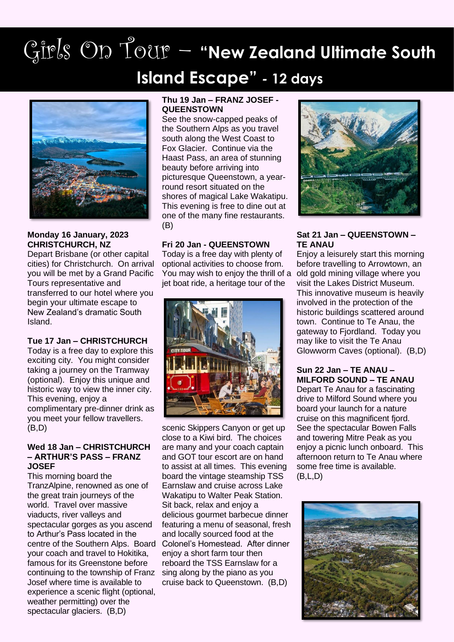# Girls On Tour – **"New Zealand Ultimate South Island Escape"** *-* **12 days**



#### **Monday 16 January, 2023 CHRISTCHURCH, NZ**

Depart Brisbane (or other capital cities) for Christchurch. On arrival you will be met by a Grand Pacific Tours representative and transferred to our hotel where you begin your ultimate escape to New Zealand's dramatic South Island.

#### **Tue 17 Jan – CHRISTCHURCH**

Today is a free day to explore this exciting city. You might consider taking a journey on the Tramway (optional). Enjoy this unique and historic way to view the inner city. This evening, enjoy a complimentary pre-dinner drink as you meet your fellow travellers. (B,D)

#### **Wed 18 Jan – CHRISTCHURCH – ARTHUR'S PASS – FRANZ JOSEF**

This morning board the TranzAlpine, renowned as one of the great train journeys of the world. Travel over massive viaducts, river valleys and spectacular gorges as you ascend to Arthur's Pass located in the centre of the Southern Alps. Board your coach and travel to Hokitika, famous for its Greenstone before continuing to the township of Franz Josef where time is available to experience a scenic flight (optional, weather permitting) over the spectacular glaciers. (B,D)

#### **Thu 19 Jan – FRANZ JOSEF - QUEENSTOWN**

See the snow-capped peaks of the Southern Alps as you travel south along the West Coast to Fox Glacier. Continue via the Haast Pass, an area of stunning beauty before arriving into picturesque Queenstown, a yearround resort situated on the shores of magical Lake Wakatipu. This evening is free to dine out at one of the many fine restaurants. (B)

#### **Fri 20 Jan - QUEENSTOWN**

Today is a free day with plenty of optional activities to choose from. You may wish to enjoy the thrill of a jet boat ride, a heritage tour of the



scenic Skippers Canyon or get up close to a Kiwi bird. The choices are many and your coach captain and GOT tour escort are on hand to assist at all times. This evening board the vintage steamship TSS Earnslaw and cruise across Lake Wakatipu to Walter Peak Station. Sit back, relax and enjoy a delicious gourmet barbecue dinner featuring a menu of seasonal, fresh and locally sourced food at the Colonel's Homestead. After dinner enjoy a short farm tour then reboard the TSS Earnslaw for a sing along by the piano as you cruise back to Queenstown. (B,D)



#### **Sat 21 Jan – QUEENSTOWN – TE ANAU**

Enjoy a leisurely start this morning before travelling to Arrowtown, an old gold mining village where you visit the Lakes District Museum. This innovative museum is heavily involved in the protection of the historic buildings scattered around town. Continue to Te Anau, the gateway to Fjordland. Today you may like to visit the Te Anau Glowworm Caves (optional). (B,D)

#### **Sun 22 Jan – TE ANAU – MILFORD SOUND – TE ANAU**

Depart Te Anau for a fascinating drive to Milford Sound where you board your launch for a nature cruise on this magnificent fjord. See the spectacular Bowen Falls and towering Mitre Peak as you enjoy a picnic lunch onboard. This afternoon return to Te Anau where some free time is available. (B,L,D)